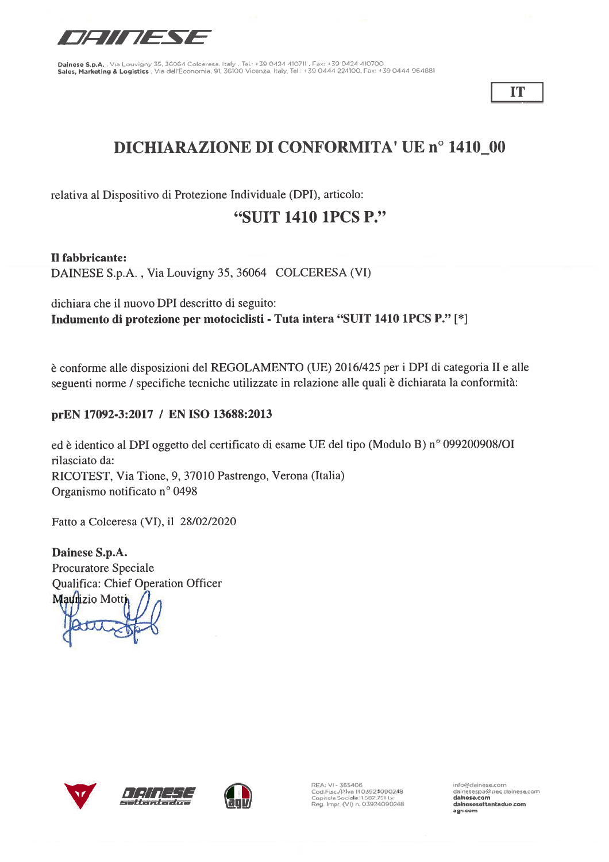

IT

# **DICHIARAZIONE DI CONFORMITA' UE nº 1410\_00**

relativa al Dispositivo di Protezione Individuale (DPI), articolo:

## "SUIT 1410 1PCS P."

Il fabbricante:

DAINESE S.p.A., Via Louvigny 35, 36064 COLCERESA (VI)

dichiara che il nuovo DPI descritto di seguito: Indumento di protezione per motociclisti - Tuta intera "SUIT 1410 1PCS P." [\*]

è conforme alle disposizioni del REGOLAMENTO (UE) 2016/425 per i DPI di categoria II e alle seguenti norme / specifiche tecniche utilizzate in relazione alle quali è dichiarata la conformità:

### prEN 17092-3:2017 / EN ISO 13688:2013

ed è identico al DPI oggetto del certificato di esame UE del tipo (Modulo B) nº 099200908/OI rilasciato da: RICOTEST, Via Tione, 9, 37010 Pastrengo, Verona (Italia) Organismo notificato nº 0498

Fatto a Colceresa (VI), il 28/02/2020

Dainese S.p.A. Procuratore Speciale **Qualifica: Chief Operation Officer** Maurizio Motti







REA: VI - 365406 REA: VI - 365406<br>Cod Fisc /Pilva (103924090248<br>Capitale Sociale: 1582.751 I.v.<br>Reg. Impr. (VI) n. 03924090248 info@dainese.com

dainesespa@pec.dainese.com dalnese com dalnesesettantadue.com agv.com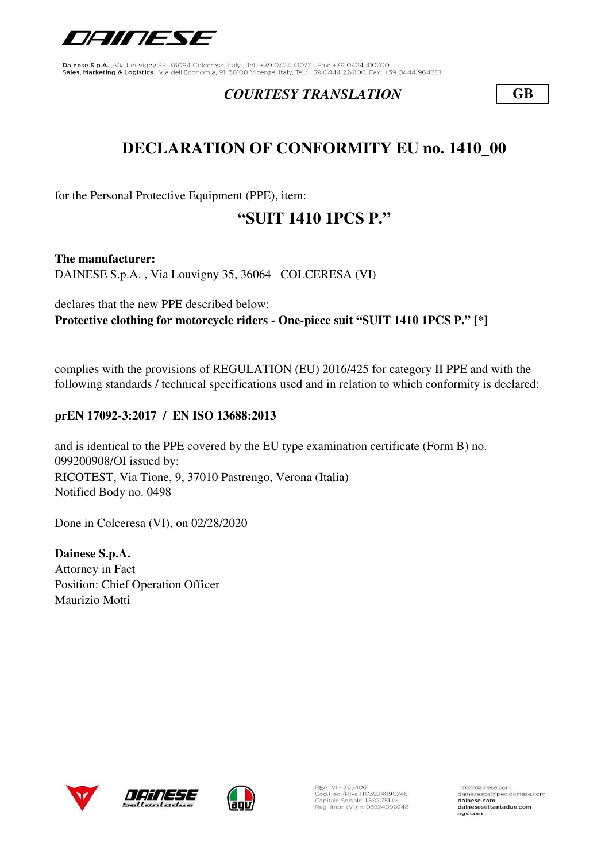

### *COURTESY TRANSLATION* **GB**

# **DECLARATION OF CONFORMITY EU no. 1410\_00**

for the Personal Protective Equipment (PPE), item:

## **"SUIT 1410 1PCS P."**

**The manufacturer:** DAINESE S.p.A. , Via Louvigny 35, 36064 COLCERESA (VI)

declares that the new PPE described below: **Protective clothing for motorcycle riders - One-piece suit "SUIT 1410 1PCS P." [\*]**

complies with the provisions of REGULATION (EU) 2016/425 for category II PPE and with the following standards / technical specifications used and in relation to which conformity is declared:

### **prEN 17092-3:2017 / EN ISO 13688:2013**

RICOTEST, Via Tione, 9, 37010 Pastrengo, Verona (Italia) Notified Body no. 0498 and is identical to the PPE covered by the EU type examination certificate (Form B) no. 099200908/OI issued by:

Done in Colceresa (VI), on 02/28/2020

**Dainese S.p.A.** Attorney in Fact Position: Chief Operation Officer Maurizio Motti







REA: VI - 365406<br>Cod.Fisc./P.Iva IT03924090248<br>Capitale Sociale: 1.582.751 Lv. Reg. Impr. (VI) n. 03924090248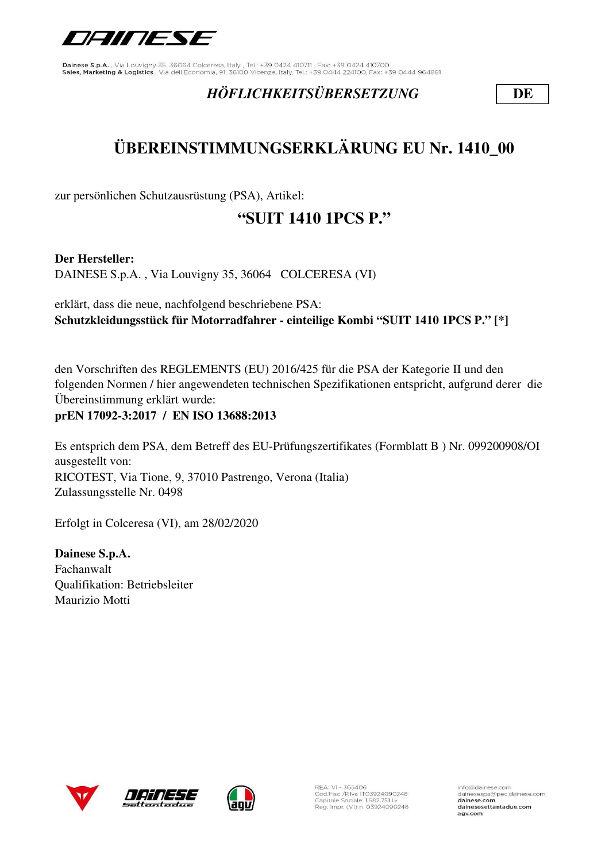

## *HÖFLICHKEITSÜBERSETZUNG* **DE**

# **ÜBEREINSTIMMUNGSERKLÄRUNG EU Nr. 1410\_00**

zur persönlichen Schutzausrüstung (PSA), Artikel:

# **"SUIT 1410 1PCS P."**

**Der Hersteller:**

DAINESE S.p.A. , Via Louvigny 35, 36064 COLCERESA (VI)

erklärt, dass die neue, nachfolgend beschriebene PSA: **Schutzkleidungsstück für Motorradfahrer - einteilige Kombi "SUIT 1410 1PCS P." [\*]**

den Vorschriften des REGLEMENTS (EU) 2016/425 für die PSA der Kategorie II und den folgenden Normen / hier angewendeten technischen Spezifikationen entspricht, aufgrund derer die Übereinstimmung erklärt wurde:

### **prEN 17092-3:2017 / EN ISO 13688:2013**

Es entsprich dem PSA, dem Betreff des EU-Prüfungszertifikates (Formblatt B ) Nr. 099200908/OI ausgestellt von: RICOTEST, Via Tione, 9, 37010 Pastrengo, Verona (Italia) Zulassungsstelle Nr. 0498

Erfolgt in Colceresa (VI), am 28/02/2020

**Dainese S.p.A.** Fachanwalt Qualifikation: Betriebsleiter Maurizio Motti







REA: VI - 365406<br>Cod.Fisc./P.Iva IT03924090248<br>Capitale Sociale: 1.582.751 Lv. Reg. Impr. (VI) n. 03924090248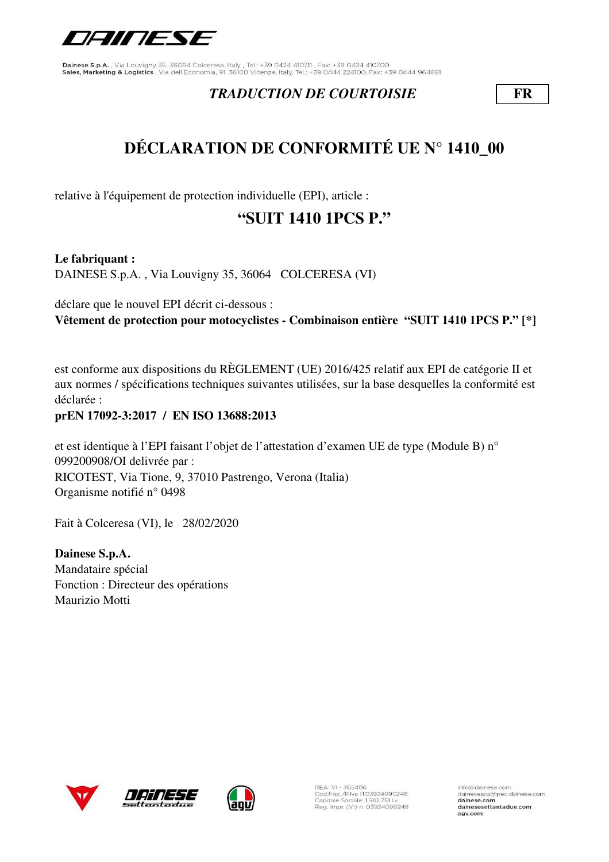

## *TRADUCTION DE COURTOISIE* **FR**

# **DÉCLARATION DE CONFORMITÉ UE N° 1410\_00**

relative à l'équipement de protection individuelle (EPI), article :

# **"SUIT 1410 1PCS P."**

**Le fabriquant :** DAINESE S.p.A. , Via Louvigny 35, 36064 COLCERESA (VI)

déclare que le nouvel EPI décrit ci-dessous : **Vêtement de protection pour motocyclistes - Combinaison entière "SUIT 1410 1PCS P." [\*]**

est conforme aux dispositions du RÈGLEMENT (UE) 2016/425 relatif aux EPI de catégorie II et aux normes / spécifications techniques suivantes utilisées, sur la base desquelles la conformité est déclarée :

### **prEN 17092-3:2017 / EN ISO 13688:2013**

et est identique à l'EPI faisant l'objet de l'attestation d'examen UE de type (Module B) n° 099200908/OI delivrée par : RICOTEST, Via Tione, 9, 37010 Pastrengo, Verona (Italia) Organisme notifié n° 0498

Fait à Colceresa (VI), le 28/02/2020

**Dainese S.p.A.** Mandataire spécial Fonction : Directeur des opérations Maurizio Motti





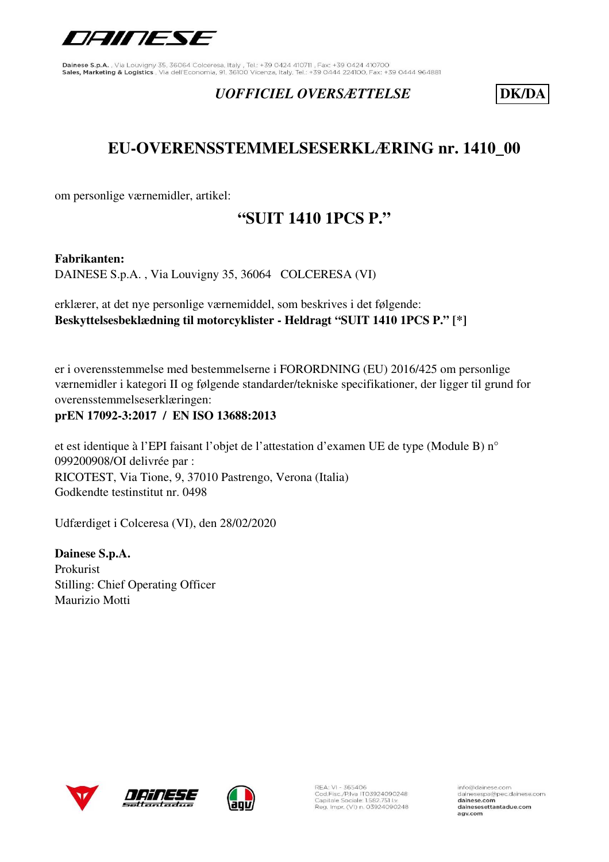

## *UOFFICIEL OVERSÆTTELSE* **DK/DA**

# **EU-OVERENSSTEMMELSESERKLÆRING nr. 1410\_00**

om personlige værnemidler, artikel:

# **"SUIT 1410 1PCS P."**

#### **Fabrikanten:**

DAINESE S.p.A. , Via Louvigny 35, 36064 COLCERESA (VI)

erklærer, at det nye personlige værnemiddel, som beskrives i det følgende: **Beskyttelsesbeklædning til motorcyklister - Heldragt "SUIT 1410 1PCS P." [\*]**

er i overensstemmelse med bestemmelserne i FORORDNING (EU) 2016/425 om personlige værnemidler i kategori II og følgende standarder/tekniske specifikationer, der ligger til grund for overensstemmelseserklæringen:

### **prEN 17092-3:2017 / EN ISO 13688:2013**

et est identique à l'EPI faisant l'objet de l'attestation d'examen UE de type (Module B) n° 099200908/OI delivrée par : RICOTEST, Via Tione, 9, 37010 Pastrengo, Verona (Italia) Godkendte testinstitut nr. 0498

Udfærdiget i Colceresa (VI), den 28/02/2020

**Dainese S.p.A.** Prokurist Stilling: Chief Operating Officer Maurizio Motti







REA: VI - 365406<br>Cod.Fisc./P.Iva IT03924090248<br>Capitale Sociale: 1.582.751 Lv. Reg. Impr. (VI) n. 03924090248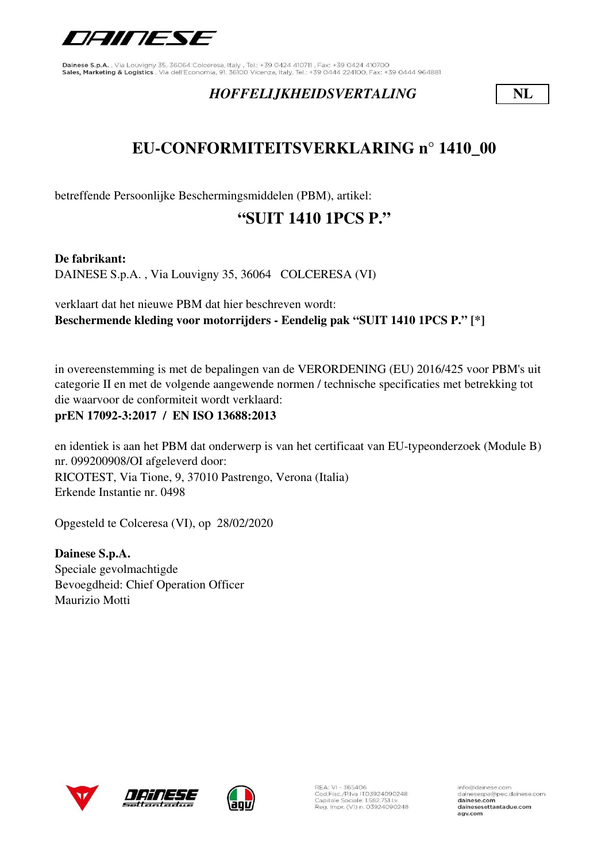

## *HOFFELIJKHEIDSVERTALING* **NL**

# **EU-CONFORMITEITSVERKLARING n° 1410\_00**

betreffende Persoonlijke Beschermingsmiddelen (PBM), artikel:

# **"SUIT 1410 1PCS P."**

**De fabrikant:**

DAINESE S.p.A. , Via Louvigny 35, 36064 COLCERESA (VI)

verklaart dat het nieuwe PBM dat hier beschreven wordt: **Beschermende kleding voor motorrijders - Eendelig pak "SUIT 1410 1PCS P." [\*]**

in overeenstemming is met de bepalingen van de VERORDENING (EU) 2016/425 voor PBM's uit categorie II en met de volgende aangewende normen / technische specificaties met betrekking tot die waarvoor de conformiteit wordt verklaard:

**prEN 17092-3:2017 / EN ISO 13688:2013**

en identiek is aan het PBM dat onderwerp is van het certificaat van EU-typeonderzoek (Module B) nr. 099200908/OI afgeleverd door: RICOTEST, Via Tione, 9, 37010 Pastrengo, Verona (Italia) Erkende Instantie nr. 0498

Opgesteld te Colceresa (VI), op 28/02/2020

**Dainese S.p.A.** Speciale gevolmachtigde Bevoegdheid: Chief Operation Officer Maurizio Motti





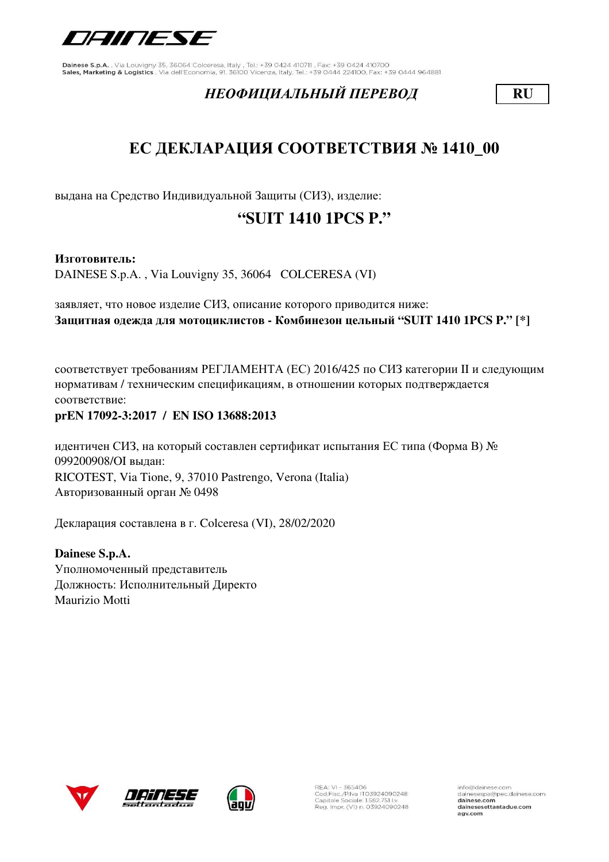

## *НЕОФИЦИАЛЬНЫЙ ПЕРЕВОД* **RU**

# **ЕС ДЕКЛАРАЦИЯ СООТВЕТСТВИЯ № 1410\_00**

выдана на Средство Индивидуальной Защиты (СИЗ), изделие:

# **"SUIT 1410 1PCS P."**

#### **Изготовитель:**

DAINESE S.p.A. , Via Louvigny 35, 36064 COLCERESA (VI)

заявляет, что новое изделие СИЗ, описание которого приводится ниже: **Защитная одежда для мотоциклистов - Комбинезон цельный "SUIT 1410 1PCS P." [\*]**

соответствует требованиям РЕГЛАМЕНТА (ЕС) 2016/425 по СИЗ категории II и следующим нормативам / техническим спецификациям, в отношении которых подтверждается соответствие:

#### **prEN 17092-3:2017 / EN ISO 13688:2013**

идентичен СИЗ, на который составлен сертификат испытания ЕС типа (Форма В) № 099200908/OI выдан: RICOTEST, Via Tione, 9, 37010 Pastrengo, Verona (Italia) Авторизованный орган № 0498

Декларация составлена в г. Colceresa (VI), 28/02/2020

**Dainese S.p.A.** Уполномоченный представитель Должность: Исполнительный Директо Maurizio Motti





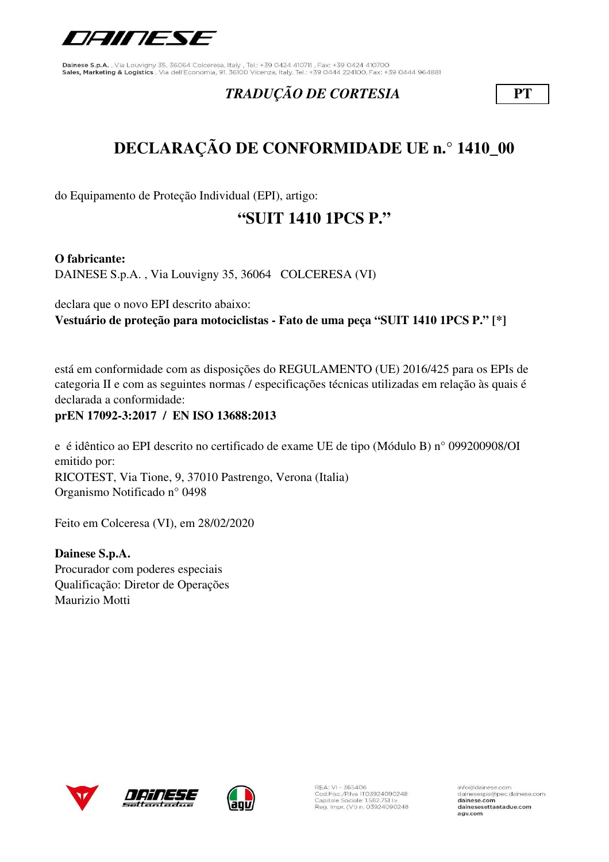

## *TRADUÇÃO DE CORTESIA* **PT**

# **DECLARAÇÃO DE CONFORMIDADE UE n.° 1410\_00**

do Equipamento de Proteção Individual (EPI), artigo:

# **"SUIT 1410 1PCS P."**

**O fabricante:**

DAINESE S.p.A. , Via Louvigny 35, 36064 COLCERESA (VI)

declara que o novo EPI descrito abaixo: **Vestuário de proteção para motociclistas - Fato de uma peça "SUIT 1410 1PCS P." [\*]**

está em conformidade com as disposições do REGULAMENTO (UE) 2016/425 para os EPIs de categoria II e com as seguintes normas / especificações técnicas utilizadas em relação às quais é declarada a conformidade:

**prEN 17092-3:2017 / EN ISO 13688:2013**

e é idêntico ao EPI descrito no certificado de exame UE de tipo (Módulo B) n° 099200908/OI emitido por: RICOTEST, Via Tione, 9, 37010 Pastrengo, Verona (Italia) Organismo Notificado n° 0498

Feito em Colceresa (VI), em 28/02/2020

**Dainese S.p.A.** Procurador com poderes especiais Qualificação: Diretor de Operações Maurizio Motti







REA: VI - 365406<br>Cod.Fisc./P.Iva IT03924090248<br>Capitale Sociale: 1.582.751 Lv. Reg. Impr. (VI) n. 03924090248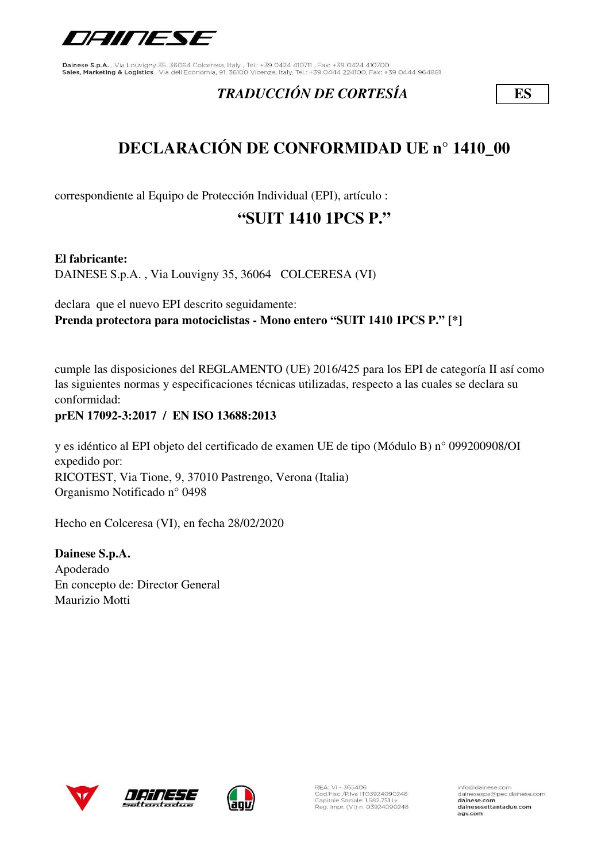

## *TRADUCCIÓN DE CORTESÍA* **ES**

# **DECLARACIÓN DE CONFORMIDAD UE n° 1410\_00**

correspondiente al Equipo de Protección Individual (EPI), artículo :

# **"SUIT 1410 1PCS P."**

### **El fabricante:**

DAINESE S.p.A. , Via Louvigny 35, 36064 COLCERESA (VI)

declara que el nuevo EPI descrito seguidamente: **Prenda protectora para motociclistas - Mono entero "SUIT 1410 1PCS P." [\*]**

cumple las disposiciones del REGLAMENTO (UE) 2016/425 para los EPI de categoría II así como las siguientes normas y especificaciones técnicas utilizadas, respecto a las cuales se declara su conformidad:

### **prEN 17092-3:2017 / EN ISO 13688:2013**

y es idéntico al EPI objeto del certificado de examen UE de tipo (Módulo B) n° 099200908/OI expedido por: RICOTEST, Via Tione, 9, 37010 Pastrengo, Verona (Italia) Organismo Notificado n° 0498

Hecho en Colceresa (VI), en fecha 28/02/2020

**Dainese S.p.A.** Apoderado En concepto de: Director General Maurizio Motti





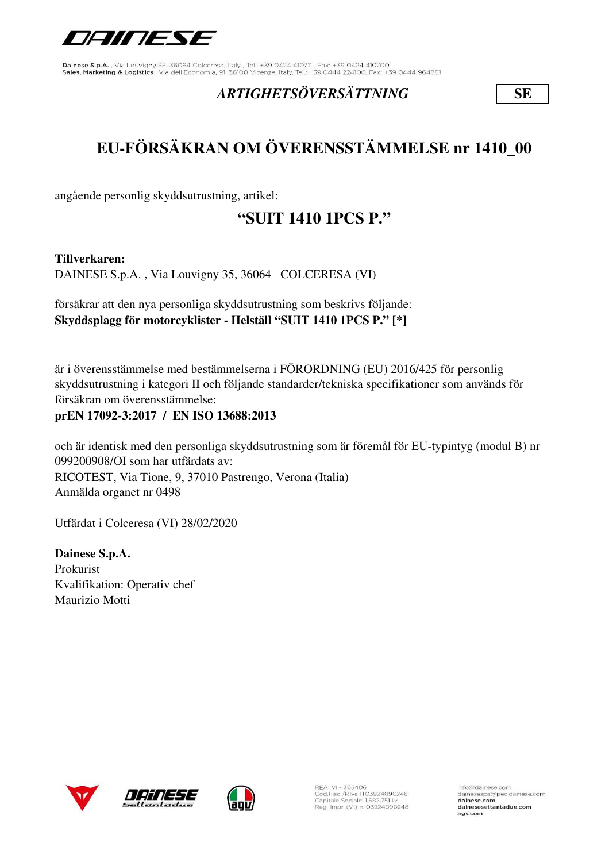

## *ARTIGHETSÖVERSÄTTNING* **SE**

# **EU-FÖRSÄKRAN OM ÖVERENSSTÄMMELSE nr 1410\_00**

angående personlig skyddsutrustning, artikel:

# **"SUIT 1410 1PCS P."**

**Tillverkaren:** 

DAINESE S.p.A. , Via Louvigny 35, 36064 COLCERESA (VI)

försäkrar att den nya personliga skyddsutrustning som beskrivs följande: **Skyddsplagg för motorcyklister - Helställ "SUIT 1410 1PCS P." [\*]**

är i överensstämmelse med bestämmelserna i FÖRORDNING (EU) 2016/425 för personlig skyddsutrustning i kategori II och följande standarder/tekniska specifikationer som används för försäkran om överensstämmelse:

### **prEN 17092-3:2017 / EN ISO 13688:2013**

och är identisk med den personliga skyddsutrustning som är föremål för EU-typintyg (modul B) nr 099200908/OI som har utfärdats av: RICOTEST, Via Tione, 9, 37010 Pastrengo, Verona (Italia) Anmälda organet nr 0498

Utfärdat i Colceresa (VI) 28/02/2020

**Dainese S.p.A.** Prokurist Kvalifikation: Operativ chef Maurizio Motti







REA: VI - 365406<br>Cod.Fisc./P.Iva IT03924090248<br>Capitale Sociale: 1.582.751 Lv. Reg. Impr. (VI) n. 03924090248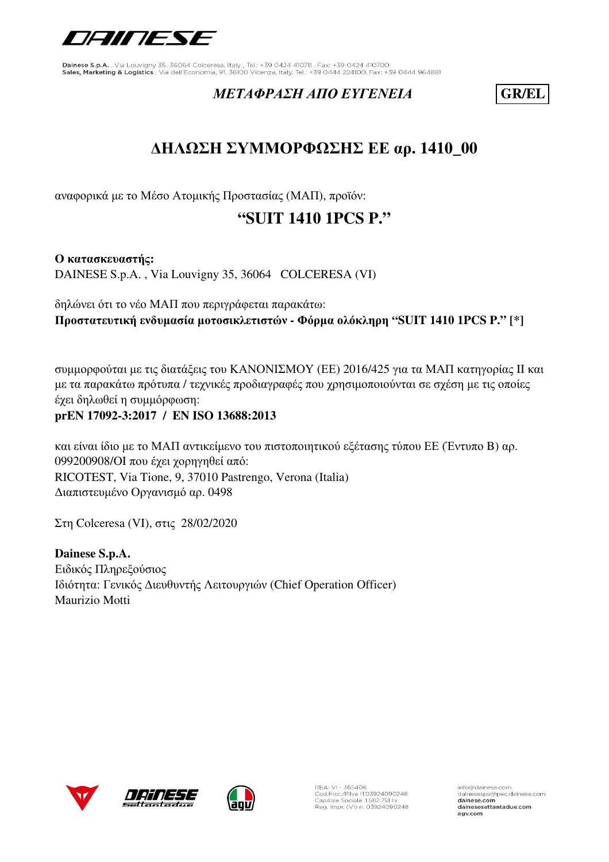

## *ΜΕΤΑΦΡΑΣΗ ΑΠΟ ΕΥΓΕΝΕΙΑ* **GR/EL**

# **ΔΗΛΩΣΗ ΣΥΜΜΟΡΦΩΣΗΣ ΕΕ αρ. 1410\_00**

αναφορικά με το Μέσο Ατομικής Προστασίας (ΜΑΠ), προϊόν:

# **"SUIT 1410 1PCS P."**

**Ο κατασκευαστής:** DAINESE S.p.A. , Via Louvigny 35, 36064 COLCERESA (VI)

δηλώνει ότι το νέο ΜΑΠ που περιγράφεται παρακάτω: **Προστατευτική ενδυμασία μοτοσικλετιστών - Φόρμα ολόκληρη "SUIT 1410 1PCS P." [\*]**

συμμορφούται με τις διατάξεις του ΚΑΝΟΝΙΣΜΟΥ (ΕΕ) 2016/425 για τα ΜΑΠ κατηγορίας II και με τα παρακάτω πρότυπα / τεχνικές προδιαγραφές που χρησιμοποιούνται σε σχέση με τις οποίες έχει δηλωθεί η συμμόρφωση: **prEN 17092-3:2017 / EN ISO 13688:2013**

και είναι ίδιο με το ΜΑΠ αντικείμενο του πιστοποιητικού εξέτασης τύπου ΕΕ (Έντυπο B) αρ. 099200908/OI που έχει χορηγηθεί από: RICOTEST, Via Tione, 9, 37010 Pastrengo, Verona (Italia) Διαπιστευμένο Οργανισμό αρ. 0498

Στη Colceresa (VI), στις 28/02/2020

**Dainese S.p.A.** Ειδικός Πληρεξούσιος Ιδιότητα: Γενικός Διευθυντής Λειτουργιών (Chief Operation Officer) Maurizio Motti





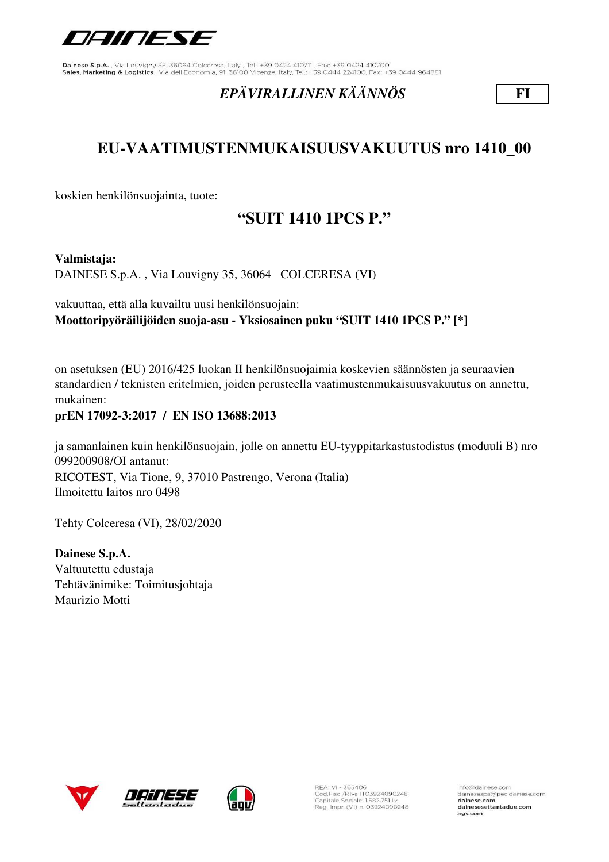

## *EPÄVIRALLINEN KÄÄNNÖS* **FI**

# **EU-VAATIMUSTENMUKAISUUSVAKUUTUS nro 1410\_00**

koskien henkilönsuojainta, tuote:

# **"SUIT 1410 1PCS P."**

#### **Valmistaja:**

DAINESE S.p.A. , Via Louvigny 35, 36064 COLCERESA (VI)

vakuuttaa, että alla kuvailtu uusi henkilönsuojain: **Moottoripyöräilijöiden suoja-asu - Yksiosainen puku "SUIT 1410 1PCS P." [\*]**

on asetuksen (EU) 2016/425 luokan II henkilönsuojaimia koskevien säännösten ja seuraavien standardien / teknisten eritelmien, joiden perusteella vaatimustenmukaisuusvakuutus on annettu, mukainen:

#### **prEN 17092-3:2017 / EN ISO 13688:2013**

ja samanlainen kuin henkilönsuojain, jolle on annettu EU-tyyppitarkastustodistus (moduuli B) nro 099200908/OI antanut: RICOTEST, Via Tione, 9, 37010 Pastrengo, Verona (Italia) Ilmoitettu laitos nro 0498

Tehty Colceresa (VI), 28/02/2020

**Dainese S.p.A.** Valtuutettu edustaja Tehtävänimike: Toimitusjohtaja Maurizio Motti







REA: VI - 365406<br>Cod.Fisc./P.Iva IT03924090248<br>Capitale Sociale: 1.582.751 I.v. Reg. Impr. (VI) n. 03924090248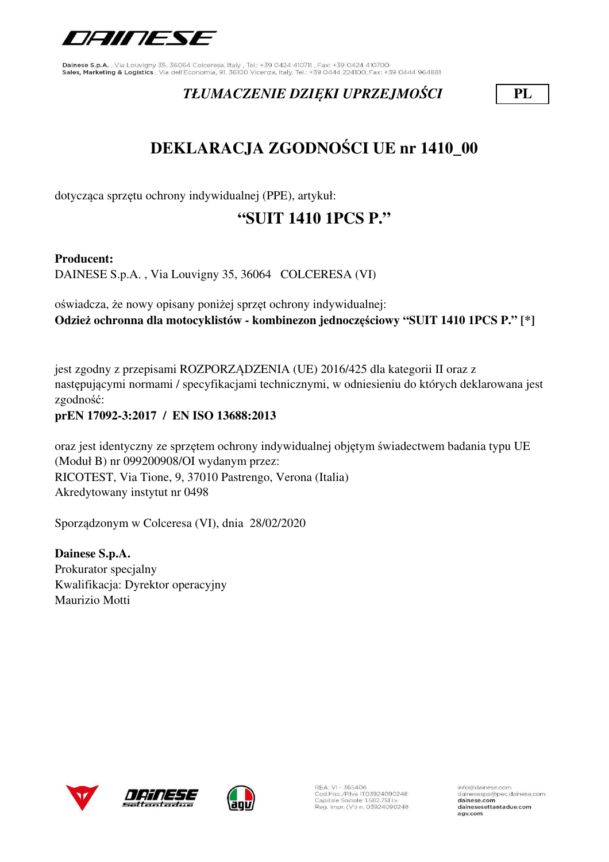

## *TŁUMACZENIE DZIĘKI UPRZEJMOŚCI* **PL**

# **DEKLARACJA ZGODNOŚCI UE nr 1410\_00**

dotycząca sprzętu ochrony indywidualnej (PPE), artykuł:

# **"SUIT 1410 1PCS P."**

### **Producent:**

DAINESE S.p.A. , Via Louvigny 35, 36064 COLCERESA (VI)

oświadcza, że nowy opisany poniżej sprzęt ochrony indywidualnej: **Odzież ochronna dla motocyklistów - kombinezon jednoczęściowy "SUIT 1410 1PCS P." [\*]**

jest zgodny z przepisami ROZPORZĄDZENIA (UE) 2016/425 dla kategorii II oraz z następującymi normami / specyfikacjami technicznymi, w odniesieniu do których deklarowana jest zgodność:

### **prEN 17092-3:2017 / EN ISO 13688:2013**

oraz jest identyczny ze sprzętem ochrony indywidualnej objętym świadectwem badania typu UE (Moduł B) nr 099200908/OI wydanym przez: RICOTEST, Via Tione, 9, 37010 Pastrengo, Verona (Italia) Akredytowany instytut nr 0498

Sporządzonym w Colceresa (VI), dnia 28/02/2020

**Dainese S.p.A.** Prokurator specjalny Kwalifikacja: Dyrektor operacyjny Maurizio Motti







REA: VI - 365406<br>Cod.Fisc./P.Iva IT03924090248<br>Capitale Sociale: 1.582.751 Lv. Reg. Impr. (VI) n. 03924090248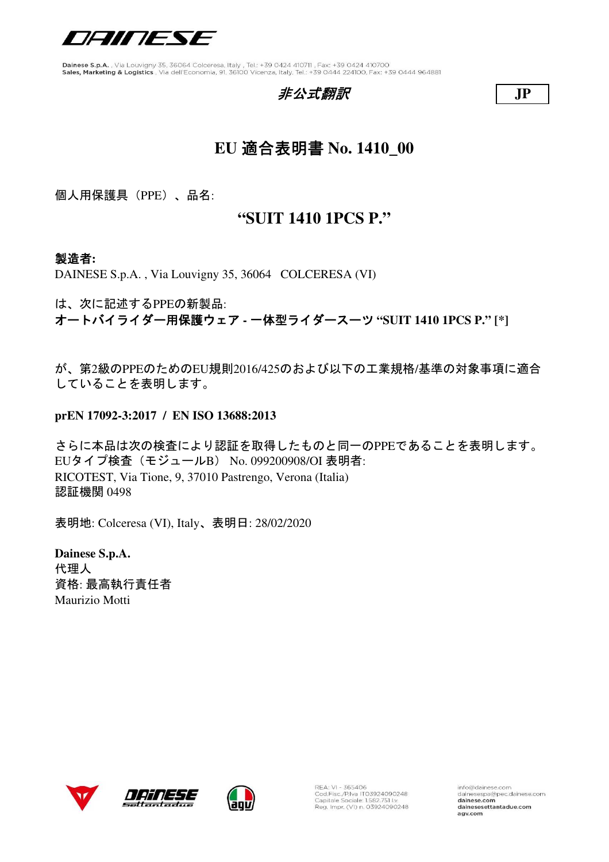

## 非公式翻訳 **JP**



# **EU** 適合表明書 **No. 1410\_00**

個人用保護具(PPE)、品名:

## **"SUIT 1410 1PCS P."**

### 製造者**:**

DAINESE S.p.A. , Via Louvigny 35, 36064 COLCERESA (VI)

は、次に記述するPPEの新製品:

オートバイライダー用保護ウェア **-** 一体型ライダースーツ **"SUIT 1410 1PCS P." [\*]**

が、第2級のPPEのためのEU規則2016/425のおよび以下の工業規格/基準の対象事項に適合 していることを表明します。

**prEN 17092-3:2017 / EN ISO 13688:2013**

さらに本品は次の検査により認証を取得したものと同一のPPEであることを表明します。 EUタイプ検査(モジュールB) No. 099200908/OI 表明者: RICOTEST, Via Tione, 9, 37010 Pastrengo, Verona (Italia) 認証機関 0498

表明地: Colceresa (VI), Italy、表明日: 28/02/2020

**Dainese S.p.A.** 代理人 資格: 最高執行責任者 Maurizio Motti







REA: VI - 365406<br>Cod.Fisc./P.Iva IT03924090248<br>Capitale Sociale: 1.582.751 Lv. Reg. Impr. (VI) n. 03924090248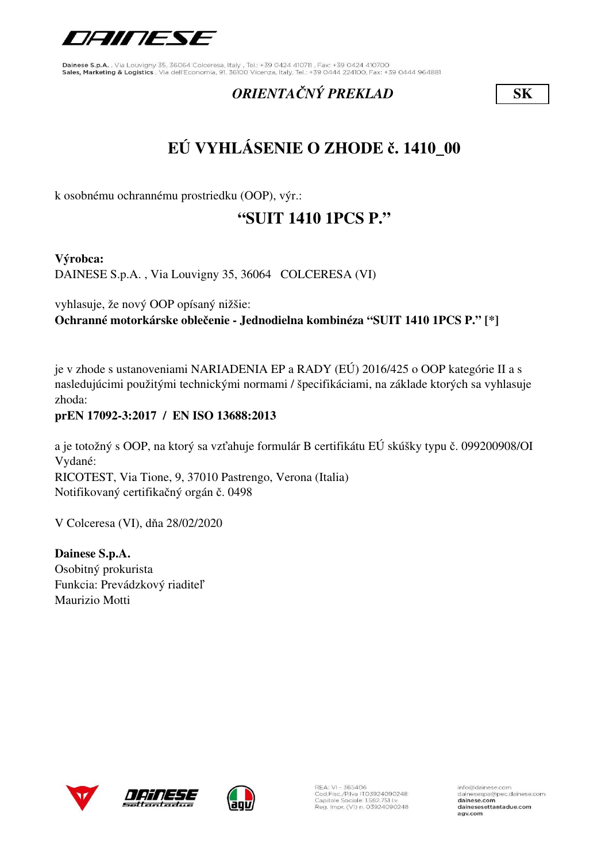

## *ORIENTAČNÝ PREKLAD* **SK**

# **EÚ VYHLÁSENIE O ZHODE č. 1410\_00**

k osobnému ochrannému prostriedku (OOP), výr.:

# **"SUIT 1410 1PCS P."**

**Výrobca:**

DAINESE S.p.A. , Via Louvigny 35, 36064 COLCERESA (VI)

vyhlasuje, že nový OOP opísaný nižšie: **Ochranné motorkárske oblečenie - Jednodielna kombinéza "SUIT 1410 1PCS P." [\*]**

je v zhode s ustanoveniami NARIADENIA EP a RADY (EÚ) 2016/425 o OOP kategórie II a s nasledujúcimi použitými technickými normami / špecifikáciami, na základe ktorých sa vyhlasuje zhoda:

### **prEN 17092-3:2017 / EN ISO 13688:2013**

a je totožný s OOP, na ktorý sa vzťahuje formulár B certifikátu EÚ skúšky typu č. 099200908/OI Vydané: RICOTEST, Via Tione, 9, 37010 Pastrengo, Verona (Italia) Notifikovaný certifikačný orgán č. 0498

V Colceresa (VI), dňa 28/02/2020

**Dainese S.p.A.** Osobitný prokurista Funkcia: Prevádzkový riaditeľ Maurizio Motti







REA: VI - 365406<br>Cod.Fisc./P.Iva IT03924090248<br>Capitale Sociale: 1.582.751 Lv. Reg. Impr. (VI) n. 03924090248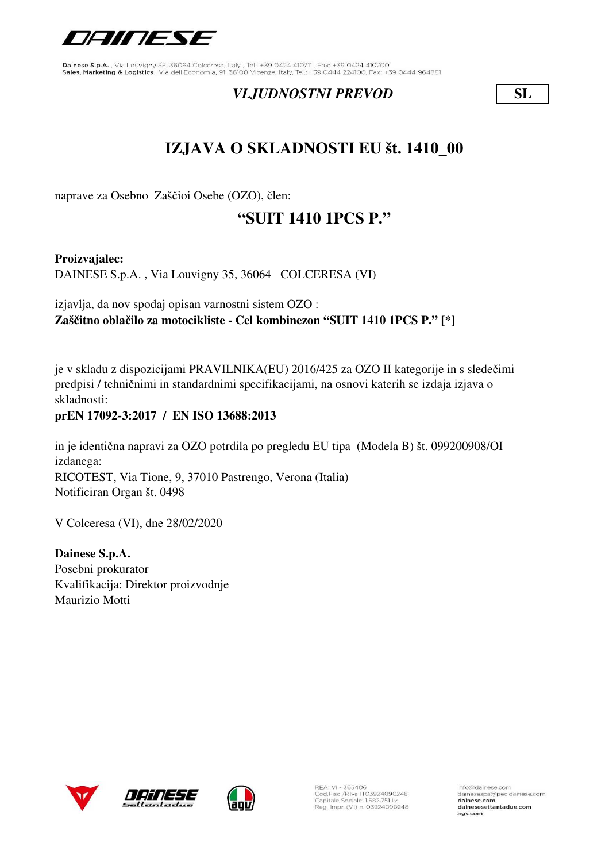

## *VLJUDNOSTNI PREVOD* **SL**

# **IZJAVA O SKLADNOSTI EU št. 1410\_00**

naprave za Osebno Zaščioi Osebe (OZO), člen:

# **"SUIT 1410 1PCS P."**

**Proizvajalec:**

DAINESE S.p.A. , Via Louvigny 35, 36064 COLCERESA (VI)

izjavlja, da nov spodaj opisan varnostni sistem OZO : **Zaščitno oblačilo za motocikliste - Cel kombinezon "SUIT 1410 1PCS P." [\*]**

je v skladu z dispozicijami PRAVILNIKA(EU) 2016/425 za OZO II kategorije in s sledečimi predpisi / tehničnimi in standardnimi specifikacijami, na osnovi katerih se izdaja izjava o skladnosti:

### **prEN 17092-3:2017 / EN ISO 13688:2013**

in je identična napravi za OZO potrdila po pregledu EU tipa (Modela B) št. 099200908/OI izdanega: RICOTEST, Via Tione, 9, 37010 Pastrengo, Verona (Italia) Notificiran Organ št. 0498

V Colceresa (VI), dne 28/02/2020

**Dainese S.p.A.** Posebni prokurator Kvalifikacija: Direktor proizvodnje Maurizio Motti







REA: VI - 365406<br>Cod.Fisc./P.Iva IT03924090248<br>Capitale Sociale: 1.582.751 Lv. Reg. Impr. (VI) n. 03924090248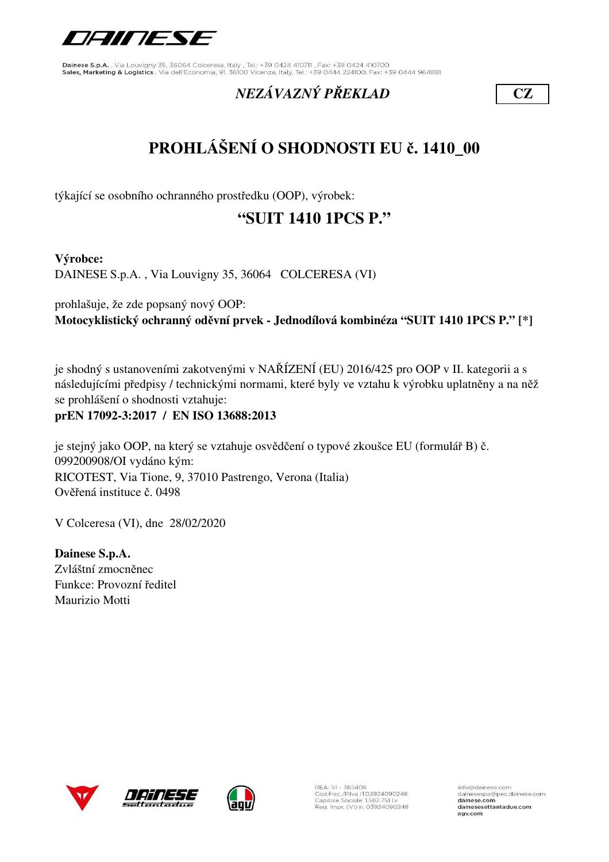

# *NEZÁVAZNÝ PŘEKLAD* **CZ**

# **PROHLÁŠENÍ O SHODNOSTI EU č. 1410\_00**

týkající se osobního ochranného prostředku (OOP), výrobek:

# **"SUIT 1410 1PCS P."**

**Výrobce:**

DAINESE S.p.A. , Via Louvigny 35, 36064 COLCERESA (VI)

prohlašuje, že zde popsaný nový OOP: **Motocyklistický ochranný oděvní prvek - Jednodílová kombinéza "SUIT 1410 1PCS P." [\*]**

je shodný s ustanoveními zakotvenými v NAŘÍZENÍ (EU) 2016/425 pro OOP v II. kategorii a s následujícími předpisy / technickými normami, které byly ve vztahu k výrobku uplatněny a na něž se prohlášení o shodnosti vztahuje:

**prEN 17092-3:2017 / EN ISO 13688:2013**

je stejný jako OOP, na který se vztahuje osvědčení o typové zkoušce EU (formulář B) č. 099200908/OI vydáno kým: RICOTEST, Via Tione, 9, 37010 Pastrengo, Verona (Italia) Ověřená instituce č. 0498

V Colceresa (VI), dne 28/02/2020

**Dainese S.p.A.** Zvláštní zmocněnec Funkce: Provozní ředitel Maurizio Motti







REA: VI - 365406<br>Cod.Fisc./P.Iva IT03924090248<br>Capitale Sociale: 1.582.751 Lv. Reg. Impr. (VI) n. 03924090248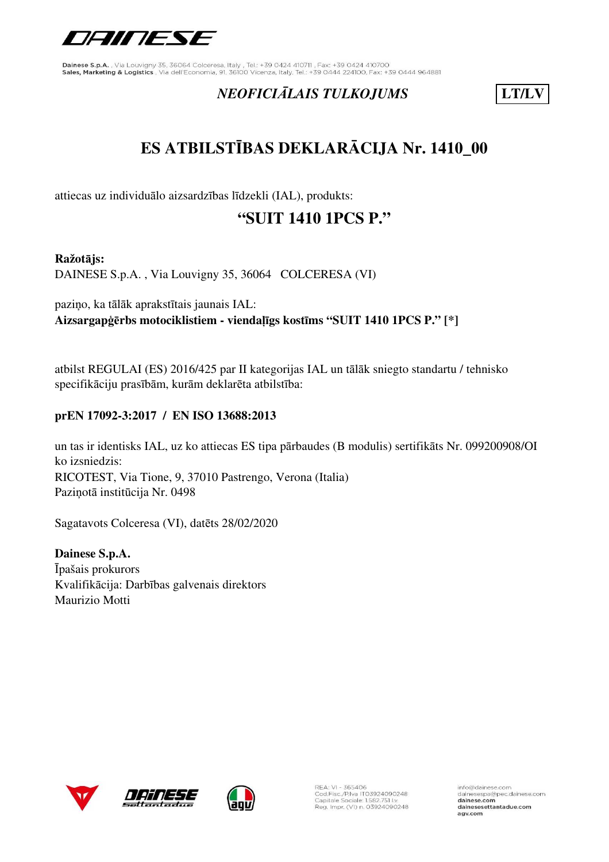

# *NEOFICIĀLAIS TULKOJUMS* **LT/LV**

# **ES ATBILSTĪBAS DEKLARĀCIJA Nr. 1410\_00**

attiecas uz individuālo aizsardzības līdzekli (IAL), produkts:

# **"SUIT 1410 1PCS P."**

#### **Ražotājs:**

DAINESE S.p.A. , Via Louvigny 35, 36064 COLCERESA (VI)

paziņo, ka tālāk aprakstītais jaunais IAL: **Aizsargapģērbs motociklistiem - viendaļīgs kostīms "SUIT 1410 1PCS P." [\*]**

atbilst REGULAI (ES) 2016/425 par II kategorijas IAL un tālāk sniegto standartu / tehnisko specifikāciju prasībām, kurām deklarēta atbilstība:

### **prEN 17092-3:2017 / EN ISO 13688:2013**

RICOTEST, Via Tione, 9, 37010 Pastrengo, Verona (Italia) Paziņotā institūcija Nr. 0498 un tas ir identisks IAL, uz ko attiecas ES tipa pārbaudes (B modulis) sertifikāts Nr. 099200908/OI ko izsniedzis:

Sagatavots Colceresa (VI), datēts 28/02/2020

**Dainese S.p.A.** Īpašais prokurors Kvalifikācija: Darbības galvenais direktors Maurizio Motti







REA: VI - 365406<br>Cod.Fisc./P.Iva IT03924090248<br>Capitale Sociale: 1.582.751 Lv. Reg. Impr. (VI) n. 03924090248